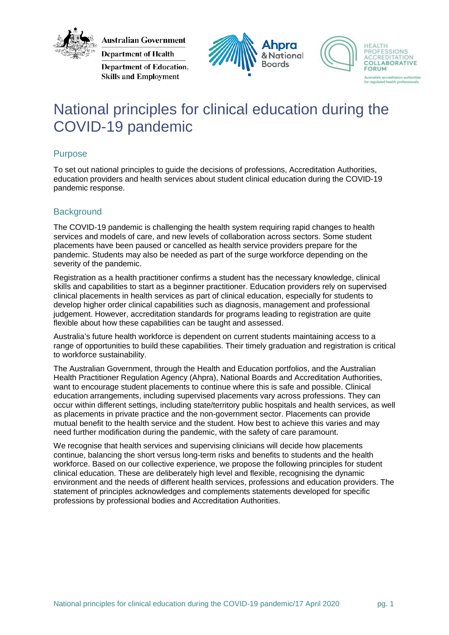

**Australian Government** 

**Department of Health** Department of Education, **Skills and Employment** 





# National principles for clinical education during the COVID-19 pandemic

### Purpose

To set out national principles to guide the decisions of professions, Accreditation Authorities, education providers and health services about student clinical education during the COVID-19 pandemic response.

## **Background**

The COVID-19 pandemic is challenging the health system requiring rapid changes to health services and models of care, and new levels of collaboration across sectors. Some student placements have been paused or cancelled as health service providers prepare for the pandemic. Students may also be needed as part of the surge workforce depending on the severity of the pandemic.

Registration as a health practitioner confirms a student has the necessary knowledge, clinical skills and capabilities to start as a beginner practitioner. Education providers rely on supervised clinical placements in health services as part of clinical education, especially for students to develop higher order clinical capabilities such as diagnosis, management and professional judgement. However, accreditation standards for programs leading to registration are quite flexible about how these capabilities can be taught and assessed.

Australia's future health workforce is dependent on current students maintaining access to a range of opportunities to build these capabilities. Their timely graduation and registration is critical to workforce sustainability.

The Australian Government, through the Health and Education portfolios, and the Australian Health Practitioner Regulation Agency (Ahpra), National Boards and Accreditation Authorities, want to encourage student placements to continue where this is safe and possible. Clinical education arrangements, including supervised placements vary across professions. They can occur within different settings, including state/territory public hospitals and health services, as well as placements in private practice and the non-government sector. Placements can provide mutual benefit to the health service and the student. How best to achieve this varies and may need further modification during the pandemic, with the safety of care paramount.

We recognise that health services and supervising clinicians will decide how placements continue, balancing the short versus long-term risks and benefits to students and the health workforce. Based on our collective experience, we propose the following principles for student clinical education. These are deliberately high level and flexible, recognising the dynamic environment and the needs of different health services, professions and education providers. The statement of principles acknowledges and complements statements developed for specific professions by professional bodies and Accreditation Authorities.